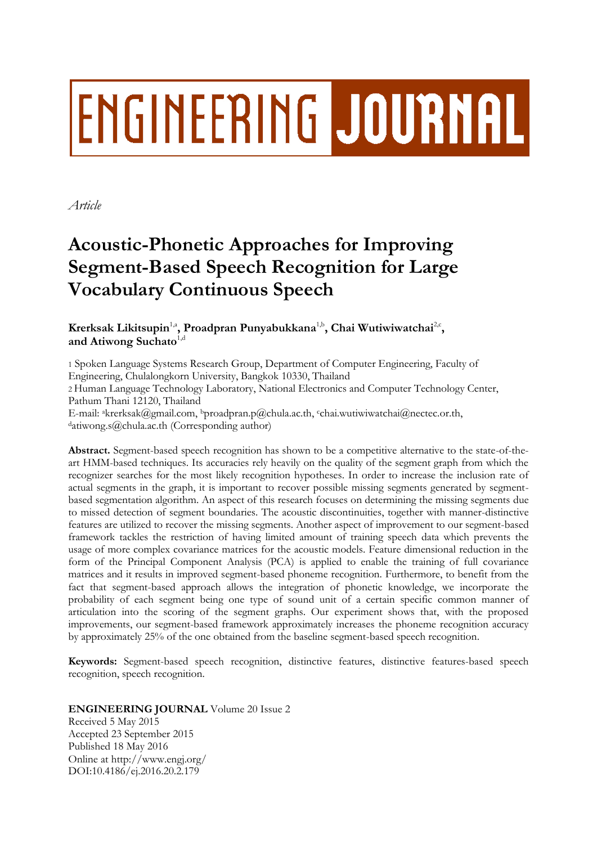# **ENGINEERING JOURNAL**

*Article*

# **Acoustic-Phonetic Approaches for Improving Segment-Based Speech Recognition for Large Vocabulary Continuous Speech**

**K**rerksak Likitsupin $^{1, \text{a}}$ , Proadpran Punyabukkana $^{1, \text{b}}$ , Chai Wutiwiwatchai $^{2, \text{c}}$ , and Atiwong Suchato<sup>1,d</sup>

1 Spoken Language Systems Research Group, Department of Computer Engineering, Faculty of Engineering, Chulalongkorn University, Bangkok 10330, Thailand

2 Human Language Technology Laboratory, National Electronics and Computer Technology Center, Pathum Thani 12120, Thailand

E-mail: akrerksak@gmail.com, bproadpran.p@chula.ac.th, cchai.wutiwiwatchai@nectec.or.th, <sup>d</sup>atiwong.s@chula.ac.th (Corresponding author)

**Abstract.** Segment-based speech recognition has shown to be a competitive alternative to the state-of-theart HMM-based techniques. Its accuracies rely heavily on the quality of the segment graph from which the recognizer searches for the most likely recognition hypotheses. In order to increase the inclusion rate of actual segments in the graph, it is important to recover possible missing segments generated by segmentbased segmentation algorithm. An aspect of this research focuses on determining the missing segments due to missed detection of segment boundaries. The acoustic discontinuities, together with manner-distinctive features are utilized to recover the missing segments. Another aspect of improvement to our segment-based framework tackles the restriction of having limited amount of training speech data which prevents the usage of more complex covariance matrices for the acoustic models. Feature dimensional reduction in the form of the Principal Component Analysis (PCA) is applied to enable the training of full covariance matrices and it results in improved segment-based phoneme recognition. Furthermore, to benefit from the fact that segment-based approach allows the integration of phonetic knowledge, we incorporate the probability of each segment being one type of sound unit of a certain specific common manner of articulation into the scoring of the segment graphs. Our experiment shows that, with the proposed improvements, our segment-based framework approximately increases the phoneme recognition accuracy by approximately 25% of the one obtained from the baseline segment-based speech recognition.

**Keywords:** Segment-based speech recognition, distinctive features, distinctive features-based speech recognition, speech recognition.

**ENGINEERING JOURNAL** Volume 20 Issue 2

Received 5 May 2015 Accepted 23 September 2015 Published 18 May 2016 Online at http://www.engj.org/ DOI:10.4186/ej.2016.20.2.179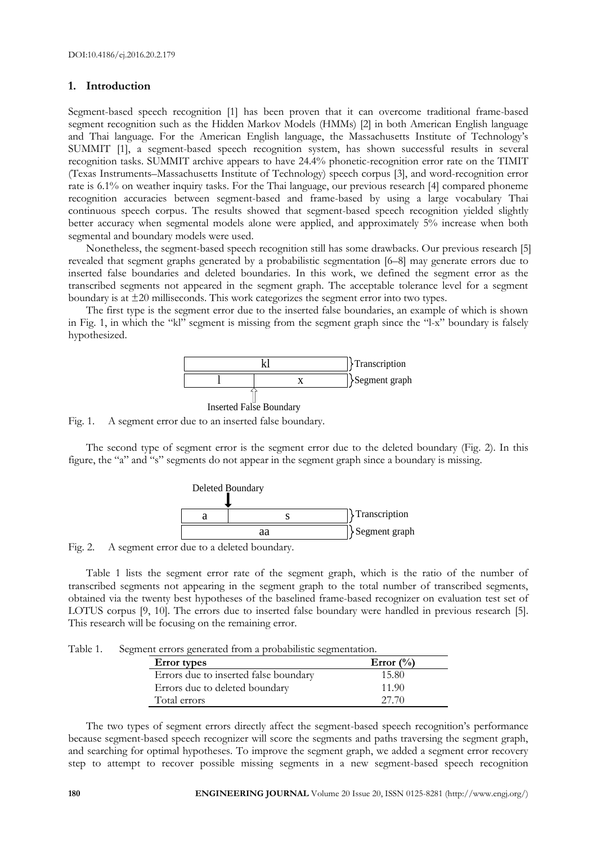# **1. Introduction**

Segment-based speech recognition [1] has been proven that it can overcome traditional frame-based segment recognition such as the Hidden Markov Models (HMMs) [2] in both American English language and Thai language. For the American English language, the Massachusetts Institute of Technology's SUMMIT [1], a segment-based speech recognition system, has shown successful results in several recognition tasks. SUMMIT archive appears to have 24.4% phonetic-recognition error rate on the TIMIT (Texas Instruments–Massachusetts Institute of Technology) speech corpus [3], and word-recognition error rate is 6.1% on weather inquiry tasks. For the Thai language, our previous research [4] compared phoneme recognition accuracies between segment-based and frame-based by using a large vocabulary Thai continuous speech corpus. The results showed that segment-based speech recognition yielded slightly better accuracy when segmental models alone were applied, and approximately 5% increase when both segmental and boundary models were used.

Nonetheless, the segment-based speech recognition still has some drawbacks. Our previous research [5] revealed that segment graphs generated by a probabilistic segmentation [6–8] may generate errors due to inserted false boundaries and deleted boundaries. In this work, we defined the segment error as the transcribed segments not appeared in the segment graph. The acceptable tolerance level for a segment boundary is at ±20 milliseconds. This work categorizes the segment error into two types.

The first type is the segment error due to the inserted false boundaries, an example of which is shown in Fig. 1, in which the "kl" segment is missing from the segment graph since the "l-x" boundary is falsely hypothesized.



Fig. 1. A segment error due to an inserted false boundary.

The second type of segment error is the segment error due to the deleted boundary (Fig. 2). In this figure, the "a" and "s" segments do not appear in the segment graph since a boundary is missing.



Fig. 2. A segment error due to a deleted boundary.

Table 1 lists the segment error rate of the segment graph, which is the ratio of the number of transcribed segments not appearing in the segment graph to the total number of transcribed segments, obtained via the twenty best hypotheses of the baselined frame-based recognizer on evaluation test set of LOTUS corpus [9, 10]. The errors due to inserted false boundary were handled in previous research [5]. This research will be focusing on the remaining error.

Table 1. Segment errors generated from a probabilistic segmentation.

| <b>Error</b> types                    | Error $\binom{0}{0}$ |
|---------------------------------------|----------------------|
| Errors due to inserted false boundary | 15.80                |
| Errors due to deleted boundary        | 11.90                |
| Total errors                          | 27.70                |

The two types of segment errors directly affect the segment-based speech recognition's performance because segment-based speech recognizer will score the segments and paths traversing the segment graph, and searching for optimal hypotheses. To improve the segment graph, we added a segment error recovery step to attempt to recover possible missing segments in a new segment-based speech recognition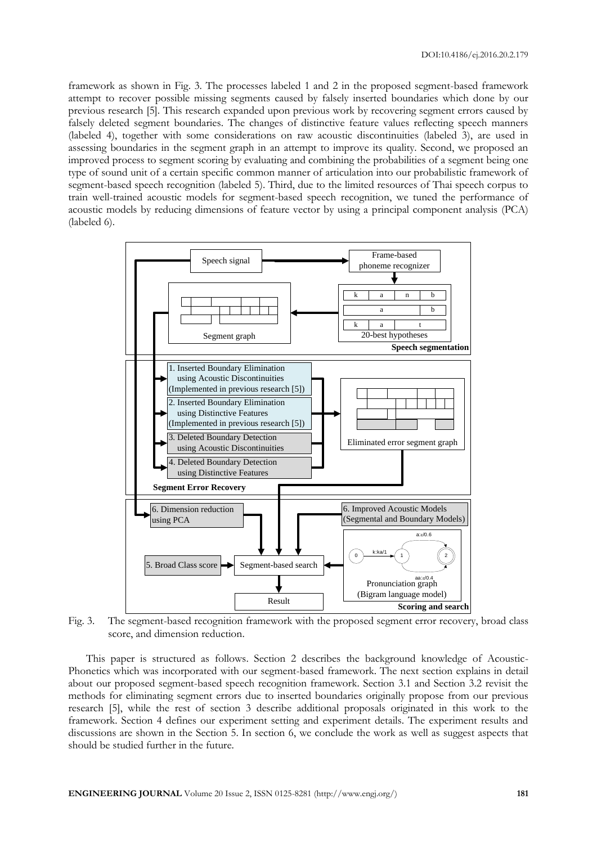framework as shown in Fig. 3. The processes labeled 1 and 2 in the proposed segment-based framework attempt to recover possible missing segments caused by falsely inserted boundaries which done by our previous research [5]. This research expanded upon previous work by recovering segment errors caused by falsely deleted segment boundaries. The changes of distinctive feature values reflecting speech manners (labeled 4), together with some considerations on raw acoustic discontinuities (labeled 3), are used in assessing boundaries in the segment graph in an attempt to improve its quality. Second, we proposed an improved process to segment scoring by evaluating and combining the probabilities of a segment being one type of sound unit of a certain specific common manner of articulation into our probabilistic framework of segment-based speech recognition (labeled 5). Third, due to the limited resources of Thai speech corpus to train well-trained acoustic models for segment-based speech recognition, we tuned the performance of acoustic models by reducing dimensions of feature vector by using a principal component analysis (PCA) (labeled 6).



Fig. 3. The segment-based recognition framework with the proposed segment error recovery, broad class score, and dimension reduction.

This paper is structured as follows. Section 2 describes the background knowledge of Acoustic-Phonetics which was incorporated with our segment-based framework. The next section explains in detail about our proposed segment-based speech recognition framework. Section 3.1 and Section 3.2 revisit the methods for eliminating segment errors due to inserted boundaries originally propose from our previous research [5], while the rest of section 3 describe additional proposals originated in this work to the framework. Section 4 defines our experiment setting and experiment details. The experiment results and discussions are shown in the Section 5. In section 6, we conclude the work as well as suggest aspects that should be studied further in the future.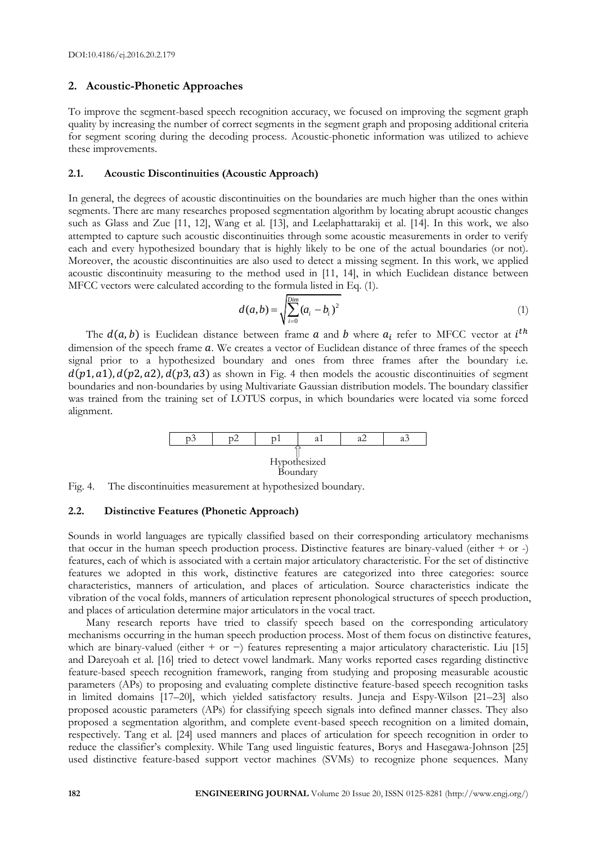# **2. Acoustic-Phonetic Approaches**

To improve the segment-based speech recognition accuracy, we focused on improving the segment graph quality by increasing the number of correct segments in the segment graph and proposing additional criteria for segment scoring during the decoding process. Acoustic-phonetic information was utilized to achieve these improvements.

# **2.1. Acoustic Discontinuities (Acoustic Approach)**

In general, the degrees of acoustic discontinuities on the boundaries are much higher than the ones within segments. There are many researches proposed segmentation algorithm by locating abrupt acoustic changes such as Glass and Zue [11, 12], Wang et al. [13], and Leelaphattarakij et al. [14]. In this work, we also attempted to capture such acoustic discontinuities through some acoustic measurements in order to verify each and every hypothesized boundary that is highly likely to be one of the actual boundaries (or not). Moreover, the acoustic discontinuities are also used to detect a missing segment. In this work, we applied acoustic discontinuity measuring to the method used in [11, 14], in which Euclidean distance between MFCC vectors were calculated according to the formula listed in Eq. (1).

$$
d(a,b) = \sqrt{\sum_{i=0}^{Dim} (a_i - b_i)^2}
$$
 (1)

The  $d(a, b)$  is Euclidean distance between frame a and b where  $a_i$  refer to MFCC vector at  $i^t$ dimension of the speech frame  $a$ . We creates a vector of Euclidean distance of three frames of the speech signal prior to a hypothesized boundary and ones from three frames after the boundary i.e.  $d(p1, a1)$ ,  $d(p2, a2)$ ,  $d(p3, a3)$  as shown in Fig. 4 then models the acoustic discontinuities of segment boundaries and non-boundaries by using Multivariate Gaussian distribution models. The boundary classifier was trained from the training set of LOTUS corpus, in which boundaries were located via some forced alignment.





# **2.2. Distinctive Features (Phonetic Approach)**

Sounds in world languages are typically classified based on their corresponding articulatory mechanisms that occur in the human speech production process. Distinctive features are binary-valued (either + or -) features, each of which is associated with a certain major articulatory characteristic. For the set of distinctive features we adopted in this work, distinctive features are categorized into three categories: source characteristics, manners of articulation, and places of articulation. Source characteristics indicate the vibration of the vocal folds, manners of articulation represent phonological structures of speech production, and places of articulation determine major articulators in the vocal tract.

Many research reports have tried to classify speech based on the corresponding articulatory mechanisms occurring in the human speech production process. Most of them focus on distinctive features, which are binary-valued (either + or −) features representing a major articulatory characteristic. Liu [15] and Dareyoah et al. [16] tried to detect vowel landmark. Many works reported cases regarding distinctive feature-based speech recognition framework, ranging from studying and proposing measurable acoustic parameters (APs) to proposing and evaluating complete distinctive feature-based speech recognition tasks in limited domains [17–20], which yielded satisfactory results. Juneja and Espy-Wilson [21–23] also proposed acoustic parameters (APs) for classifying speech signals into defined manner classes. They also proposed a segmentation algorithm, and complete event-based speech recognition on a limited domain, respectively. Tang et al. [24] used manners and places of articulation for speech recognition in order to reduce the classifier's complexity. While Tang used linguistic features, Borys and Hasegawa-Johnson [25] used distinctive feature-based support vector machines (SVMs) to recognize phone sequences. Many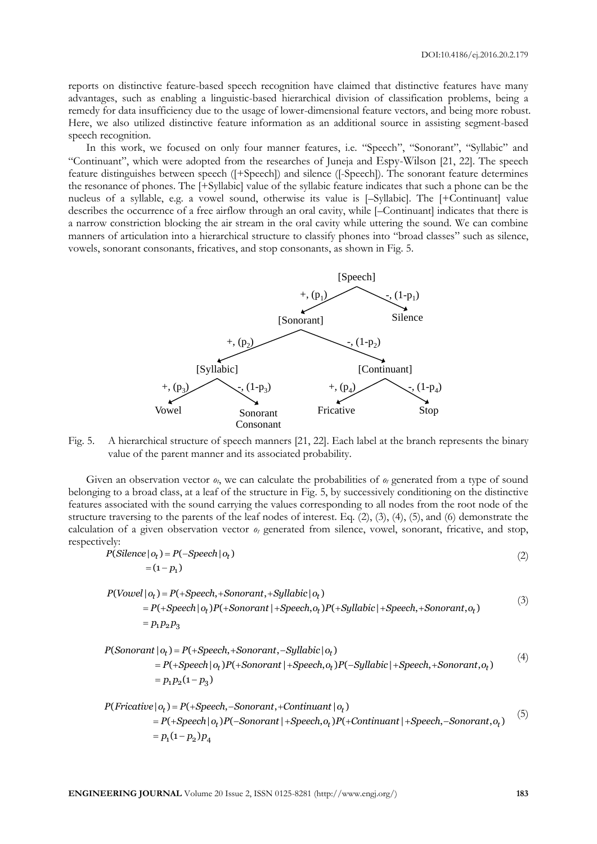reports on distinctive feature-based speech recognition have claimed that distinctive features have many advantages, such as enabling a linguistic-based hierarchical division of classification problems, being a remedy for data insufficiency due to the usage of lower-dimensional feature vectors, and being more robust. Here, we also utilized distinctive feature information as an additional source in assisting segment-based speech recognition.

In this work, we focused on only four manner features, i.e. "Speech", "Sonorant", "Syllabic" and "Continuant", which were adopted from the researches of Juneja and Espy-Wilson [21, 22]. The speech feature distinguishes between speech ([+Speech]) and silence ([-Speech]). The sonorant feature determines the resonance of phones. The [+Syllabic] value of the syllabic feature indicates that such a phone can be the nucleus of a syllable, e.g. a vowel sound, otherwise its value is [–Syllabic]. The [+Continuant] value describes the occurrence of a free airflow through an oral cavity, while [-Continuant] indicates that there is a narrow constriction blocking the air stream in the oral cavity while uttering the sound. We can combine manners of articulation into a hierarchical structure to classify phones into "broad classes" such as silence, vowels, sonorant consonants, fricatives, and stop consonants, as shown in Fig. 5.



Fig. 5. A hierarchical structure of speech manners [21, 22]. Each label at the branch represents the binary value of the parent manner and its associated probability.

Given an observation vector  $\theta$ <sup>*t*</sup>, we can calculate the probabilities of  $\theta$ <sup>*t*</sup> generated from a type of sound belonging to a broad class, at a leaf of the structure in Fig. 5, by successively conditioning on the distinctive features associated with the sound carrying the values corresponding to all nodes from the root node of the structure traversing to the parents of the leaf nodes of interest. Eq.  $(2)$ ,  $(3)$ ,  $(4)$ ,  $(5)$ , and  $(6)$  demonstrate the calculation of a given observation vector *o<sup>t</sup>* generated from silence, vowel, sonorant, fricative, and stop, respectively:  $= P(-Spec$ ly:<br>(*Silence | 0<sub>t</sub> ) = P*(–*Speech* | 0<sub>t</sub> )

$$
P(Silence | o_t) = P(-Speech | o_t)
$$
\n
$$
= (1 - p_1)
$$
\n
$$
P(Vowel | o_t) = P(+Speech, + Sonorant, +Syllabic | o_t)
$$
\n
$$
= P(+Speech | o_t)P(+Sonorant) + Speech | o_t)P(+Sullabic | + Speech + Sonorant | o_t)
$$
\n(3)

=(1-  $p_1$ )<br>
=(1-  $p_1$ )<br>  $|o_t$ ) =  $P$ (+Speech,+Sonorant,+Syllabic  $|o_t$ )<br>
=  $P$ (+Speech  $|o_t$ ) $P$ (+Sonorant |+Speech, $o_t$ ) $P$ (+Syllabic |+Speech,+Sonorant, $o_t$ )<br>
=  $p_1$ ,  $p_2$ ,  $p_3$  $|o_t\rangle = P(-\frac{P}{2}) = P(-\frac{P}{2}) = P_1 P_2 P_3$  $\begin{aligned} &\mathcal{D}_t(-\mathcal{D}_t) = P(\text{P}_t) \ &\mathcal{D}_t = P(\text{P}_t) \ &\mathcal{D}_t = P(\text{P}_t) \ &\mathcal{P}_t = P(\text{P}_t) \ &\mathcal{P}_t = P(\text{P}_t) \ &\mathcal{P}_t = P(\text{P}_t) \ &\mathcal{P}_t = P(\text{P}_t) \ &\mathcal{P}_t = P(\text{P}_t) \ &\mathcal{P}_t = P(\text{P}_t) \ &\mathcal{P}_t = P(\text{P}_t) \ &\mathcal{P}_t = P(\text{P}_t) \ &\mathcal{P}_t$  $p_t$ ) =  $P_1$ <br> $p_t$ ) =  $P_2$ <br> $p_1 p_2 p_3$  (3)  $\begin{aligned} &\text{P}(1,1)P(+\text{Sonorant},1)P(+\text{Soneant},1)P(+\text{Soneant})\ &\text{P}(1,2)P(-\text{Sonorant},1)P(-\text{Sonant},1)P(-\text{Sonant},1)P(-\text{Sonorant},1)P(-\text{Soneant},1)P(-\text{Soneant},1)P(-\text{Soneant},1)P(-\text{Soneant},1)P(-\text{Soneant},1)P(-\text{Soneant},1)P(-\text{Soneant},1)P(-\text{Soneant},1)P(-\text{Soneant},1)P(-\text{Soneant},1)P(-\text{S$  $\begin{aligned} P\left( \text{Sonorant} \, | \, o_t \right) & = P( + \text{Speech} \, | \, o_t) P( + \text{Sonorant} \, | \, + \text{Speech}, o_t) P( + \text{Sonorant} \, | \, o_t) P( + \text{Sonorant} \, | \, o_t) P( + \text{Sonorant} \, | \, o_t) \\ & = P( + \text{Speech} \, | \, o_t) P( + \text{Sonorant} \, | \, + \text{Speech} \, o_t) \\ & = P( + \text{Speech} \, | \, o_t) P( + \text{Sonorant} \, | \, + \text{Speech}$ 

(+speech |  $o_t$  )1 (+sonorant | +speech, $o_t$  )1 (+symaon: | +speech, +sonorant, $o_t$ )<br>  $o_t$ ) = P(+Speech, +Sonorant, -Syllabic |  $o_t$ )<br>
= P(+Speech |  $o_t$ ) P(+Sonorant | +Speech, $o_t$ ) P(-Syllabic | +Speech, +Sonorant, $o_t$ )  $\begin{aligned} &\langle 1P_2P_3|\ \vert o_t\rangle = P(+Speech,+Sonor) \ &= P(+Speech\, o_t)P(+Sono) \ &= p_1p_2(1-p_3) \end{aligned}$  $\begin{aligned} &\text{Lipacent}(\text{Lshontant} \mid \text{Lipector}, \text{Cipfactor} \mid \text{Lipactor} \mid \text{Lipector}, \text{Lshontant}, \text{Cepb}, \text{Depb}, \text{Depb}, \text{Depb}, \\ &\text{Depb}, \\ &\text{P(+Speech, + Sonorant, -Syllabic} \mid \text{O}_t) \\ &\text{P(+Speech} \mid \text{O}_t) \text{P(+Sonorant} \mid \text{+Speech}, \text{O}_t) \text{P(–Syllabic} \mid \text{+Speech, + Sonorant}, \text{O}_t) \\ &\text{P(+$  $p_1 p_2$ <br>  $p_2 p_3$ <br>  $p_1 p_2 (1-p_3)$  (4)  $P(Sonorant | o_t) = P(+Speech, + Sonorant, -Sylator | o_t)$ <br>=  $P(+Speech | o_t)P(+Sonorant | +Speech, o_t)P(-$ <br>=  $p_1p_2(1-p_3)$ <br> $P(Fricative | o_t) = P(+Speech, -Sonorant, +Continuant | o_t)$ <br>=  $P(+Speech | o_t)P(-Sonorant | +Speech, o_t)P(+$  $p_1p_2(1-p_3)$ <br>  $p_1p_2(1-p_3)$ <br>  $p_t$  =  $P(+Speedh, -Sonorant, +Continuant \mid o_t)$ <br>  $P(+Speedh(o, P(-Sonorant) + Speech(o, P))$ 

$$
= P(+Speech | o_t)P(+Sonorant | +Speech, o_t)P(-Syluabc | +Speech, +Sonorant, o_t)
$$
  
\n
$$
= p_1p_2(1-p_3)
$$
  
\n
$$
P(Fricative | o_t) = P(+Speech, -Sonorant, +Continuant | o_t)
$$
  
\n
$$
= P(+Speech | o_t)P(-Sonorant | +Speech, o_t)P(+Continuant | +Speech, -Sonorant, o_t)
$$
  
\n
$$
= p_1(1-p_2)p_4
$$
 (5)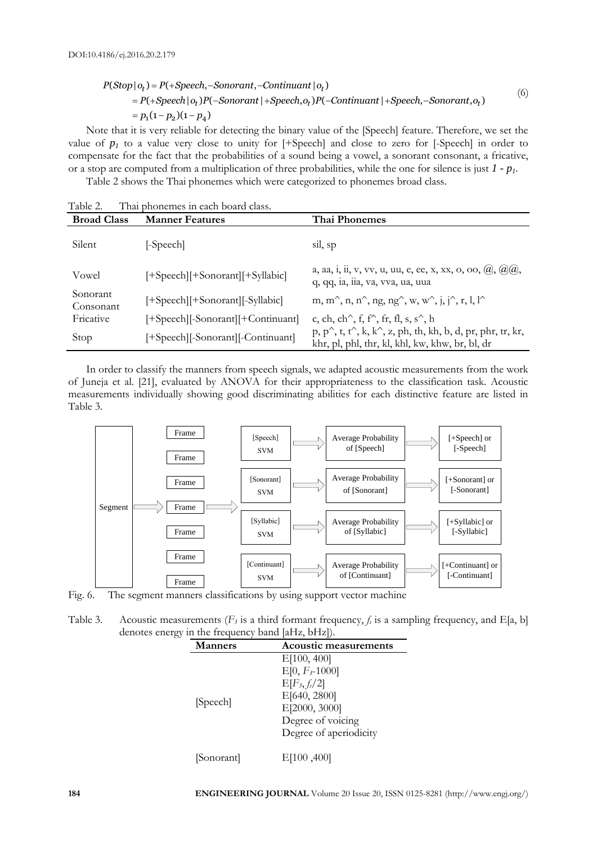$$
P(Stop | o_t) = P(+Speech, - Sonorant, -Continuant | o_t)
$$
  
\n
$$
= P(+Speech | o_t)P(-Sonorant | + Speech, o_t)P(-Continuant | + Speech, - Sonorant, o_t)
$$
  
\n
$$
= p_1(1 - p_2)(1 - p_4)
$$
  
\nNote that it is very reliable for detecting the binary value of the [Speech] feature. Therefore, we set the

value of  $p_1$  to a value very close to unity for  $[+Specch]$  and close to zero for  $[-Specch]$  in order to compensate for the fact that the probabilities of a sound being a vowel, a sonorant consonant, a fricative, or a stop are computed from a multiplication of three probabilities, while the one for silence is just *1 - p1*.

Table 2 shows the Thai phonemes which were categorized to phonemes broad class.

| $1.4111$ , $2.5$      | THAI DHUILHILS III CACH DUAIU CIASS. |                                                                                                                                                  |
|-----------------------|--------------------------------------|--------------------------------------------------------------------------------------------------------------------------------------------------|
| <b>Broad Class</b>    | <b>Manner Features</b>               | Thai Phonemes                                                                                                                                    |
| Silent                | [-Speech]                            | sil, sp                                                                                                                                          |
| Vowel                 | [+Speech][+Sonorant][+Syllabic]      | a, aa, i, ii, v, vv, u, uu, e, ee, x, xx, o, oo, $(0), (0), (0)$<br>q, qq, ia, iia, va, vva, ua, uua                                             |
| Sonorant<br>Consonant | [+Speech][+Sonorant][-Syllabic]      | m, m <sup><math>\hat{ }</math></sup> , n, n $\hat{ }$ , ng, ng $\hat{ }$ , w, w $\hat{ }$ , j, j $\hat{ }$ , r, l, l $\hat{ }$                   |
| Fricative             | [+Speech][-Sonorant][+Continuant]    | c, ch, ch <sup><math>\wedge</math></sup> , f, f $\wedge$ , fr, fl, s, s $\wedge$ , h                                                             |
| Stop                  | [+Speech][-Sonorant][-Continuant]    | $p, p^{\wedge}$ , t, t $^{\wedge}$ , k, k $^{\wedge}$ , z, ph, th, kh, b, d, pr, phr, tr, kr,<br>khr, pl, phl, thr, kl, khl, kw, khw, br, bl, dr |

Table 2. Thai phonemes in each board class.

In order to classify the manners from speech signals, we adapted acoustic measurements from the work of Juneja et al. [21], evaluated by ANOVA for their appropriateness to the classification task. Acoustic measurements individually showing good discriminating abilities for each distinctive feature are listed in Table 3.



Fig. 6. The segment manners classifications by using support vector machine

Table 3. Acoustic measurements ( $F_3$  is a third formant frequency,  $f_i$  is a sampling frequency, and E[a, b] denotes energy in the frequency band [aHz, bHz]).

| <b>Manners</b> | <b>Acoustic measurements</b>                                                                                                          |
|----------------|---------------------------------------------------------------------------------------------------------------------------------------|
| [Speech]       | E[100, 400]<br>$E[0, F_{3}$ -1000]<br>$E[F_3, f_s/2]$<br>E[640, 2800]<br>E[2000, 3000]<br>Degree of voicing<br>Degree of aperiodicity |
| [Sonorant]     | E[100,400]                                                                                                                            |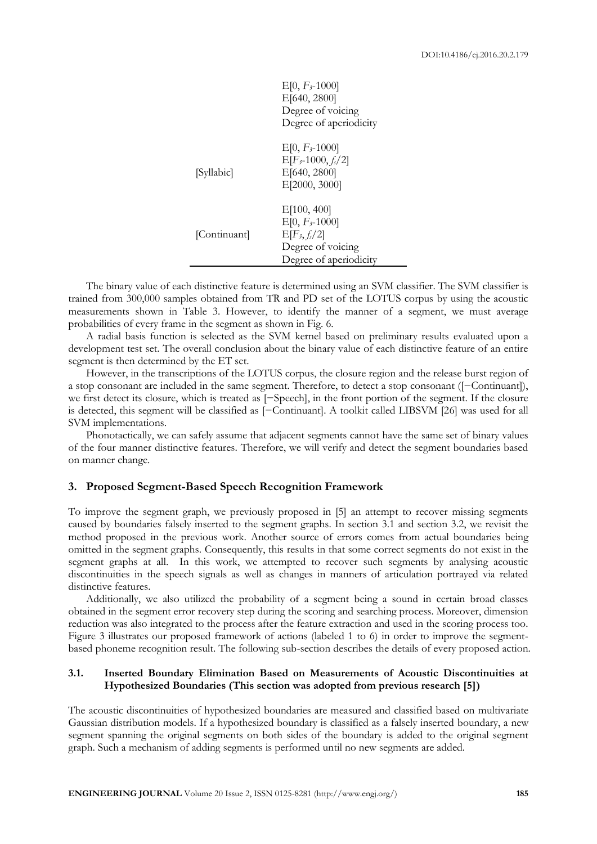|              | $E[0, F_{3}$ -1000]<br>E[640, 2800]<br>Degree of voicing<br>Degree of aperiodicity                   |
|--------------|------------------------------------------------------------------------------------------------------|
| [Syllabic]   | $E[0, F_{3}$ -1000]<br>$E[F_{3}$ -1000, $f_{s}/2]$<br>E[640, 2800]<br>E[2000, 3000]                  |
| [Continuant] | E[100, 400]<br>$E[0, F_{3}$ -1000]<br>$E[F_3, f_s/2]$<br>Degree of voicing<br>Degree of aperiodicity |

The binary value of each distinctive feature is determined using an SVM classifier. The SVM classifier is trained from 300,000 samples obtained from TR and PD set of the LOTUS corpus by using the acoustic measurements shown in Table 3. However, to identify the manner of a segment, we must average probabilities of every frame in the segment as shown in Fig. 6.

A radial basis function is selected as the SVM kernel based on preliminary results evaluated upon a development test set. The overall conclusion about the binary value of each distinctive feature of an entire segment is then determined by the ET set.

However, in the transcriptions of the LOTUS corpus, the closure region and the release burst region of a stop consonant are included in the same segment. Therefore, to detect a stop consonant ([−Continuant]), we first detect its closure, which is treated as [−Speech], in the front portion of the segment. If the closure is detected, this segment will be classified as [−Continuant]. A toolkit called LIBSVM [26] was used for all SVM implementations.

Phonotactically, we can safely assume that adjacent segments cannot have the same set of binary values of the four manner distinctive features. Therefore, we will verify and detect the segment boundaries based on manner change.

# **3. Proposed Segment-Based Speech Recognition Framework**

To improve the segment graph, we previously proposed in [5] an attempt to recover missing segments caused by boundaries falsely inserted to the segment graphs. In section 3.1 and section 3.2, we revisit the method proposed in the previous work. Another source of errors comes from actual boundaries being omitted in the segment graphs. Consequently, this results in that some correct segments do not exist in the segment graphs at all. In this work, we attempted to recover such segments by analysing acoustic discontinuities in the speech signals as well as changes in manners of articulation portrayed via related distinctive features.

Additionally, we also utilized the probability of a segment being a sound in certain broad classes obtained in the segment error recovery step during the scoring and searching process. Moreover, dimension reduction was also integrated to the process after the feature extraction and used in the scoring process too. Figure 3 illustrates our proposed framework of actions (labeled 1 to 6) in order to improve the segmentbased phoneme recognition result. The following sub-section describes the details of every proposed action.

# **3.1. Inserted Boundary Elimination Based on Measurements of Acoustic Discontinuities at Hypothesized Boundaries (This section was adopted from previous research [5])**

The acoustic discontinuities of hypothesized boundaries are measured and classified based on multivariate Gaussian distribution models. If a hypothesized boundary is classified as a falsely inserted boundary, a new segment spanning the original segments on both sides of the boundary is added to the original segment graph. Such a mechanism of adding segments is performed until no new segments are added.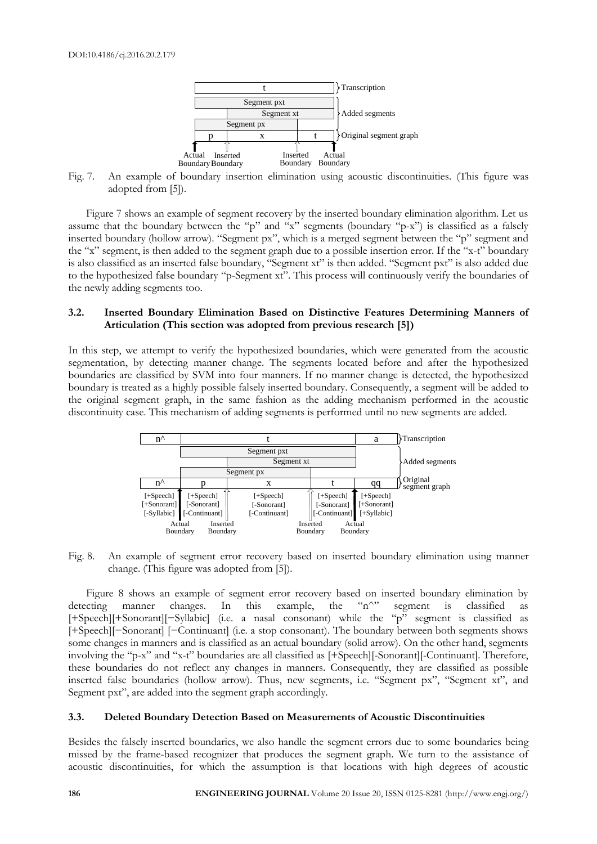

Fig. 7. An example of boundary insertion elimination using acoustic discontinuities. (This figure was adopted from [5]).

Figure 7 shows an example of segment recovery by the inserted boundary elimination algorithm. Let us assume that the boundary between the "p" and "x" segments (boundary "p-x") is classified as a falsely inserted boundary (hollow arrow). "Segment px", which is a merged segment between the "p" segment and the "x" segment, is then added to the segment graph due to a possible insertion error. If the "x-t" boundary is also classified as an inserted false boundary, "Segment xt" is then added. "Segment pxt" is also added due to the hypothesized false boundary "p-Segment xt". This process will continuously verify the boundaries of the newly adding segments too.

# **3.2. Inserted Boundary Elimination Based on Distinctive Features Determining Manners of Articulation (This section was adopted from previous research [5])**

In this step, we attempt to verify the hypothesized boundaries, which were generated from the acoustic segmentation, by detecting manner change. The segments located before and after the hypothesized boundaries are classified by SVM into four manners. If no manner change is detected, the hypothesized boundary is treated as a highly possible falsely inserted boundary. Consequently, a segment will be added to the original segment graph, in the same fashion as the adding mechanism performed in the acoustic discontinuity case. This mechanism of adding segments is performed until no new segments are added.



Fig. 8. An example of segment error recovery based on inserted boundary elimination using manner change. (This figure was adopted from [5]).

Figure 8 shows an example of segment error recovery based on inserted boundary elimination by exting manner changes. In this example, the "n^" segment is classified as detecting manner changes. In this example, the "n^" segment is classified as [+Speech][+Sonorant][−Syllabic] (i.e. a nasal consonant) while the "p" segment is classified as [+Speech][−Sonorant] [−Continuant] (i.e. a stop consonant). The boundary between both segments shows some changes in manners and is classified as an actual boundary (solid arrow). On the other hand, segments involving the "p-x" and "x-t" boundaries are all classified as [+Speech][-Sonorant][-Continuant]. Therefore, these boundaries do not reflect any changes in manners. Consequently, they are classified as possible inserted false boundaries (hollow arrow). Thus, new segments, i.e. "Segment px", "Segment xt", and Segment pxt", are added into the segment graph accordingly.

# **3.3. Deleted Boundary Detection Based on Measurements of Acoustic Discontinuities**

Besides the falsely inserted boundaries, we also handle the segment errors due to some boundaries being missed by the frame-based recognizer that produces the segment graph. We turn to the assistance of acoustic discontinuities, for which the assumption is that locations with high degrees of acoustic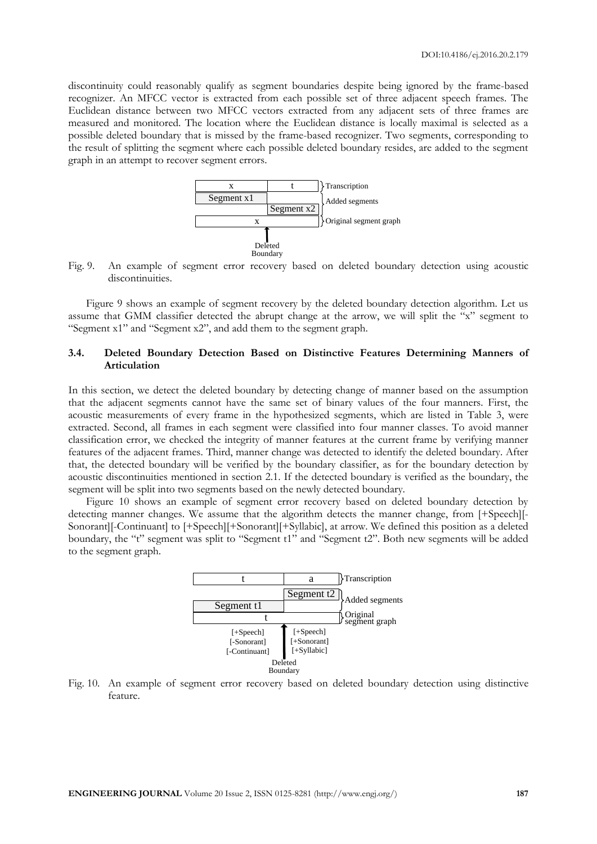discontinuity could reasonably qualify as segment boundaries despite being ignored by the frame-based recognizer. An MFCC vector is extracted from each possible set of three adjacent speech frames. The Euclidean distance between two MFCC vectors extracted from any adjacent sets of three frames are measured and monitored. The location where the Euclidean distance is locally maximal is selected as a possible deleted boundary that is missed by the frame-based recognizer. Two segments, corresponding to the result of splitting the segment where each possible deleted boundary resides, are added to the segment graph in an attempt to recover segment errors.



Fig. 9. An example of segment error recovery based on deleted boundary detection using acoustic discontinuities.

Figure 9 shows an example of segment recovery by the deleted boundary detection algorithm. Let us assume that GMM classifier detected the abrupt change at the arrow, we will split the "x" segment to "Segment x1" and "Segment x2", and add them to the segment graph.

# **3.4. Deleted Boundary Detection Based on Distinctive Features Determining Manners of Articulation**

In this section, we detect the deleted boundary by detecting change of manner based on the assumption that the adjacent segments cannot have the same set of binary values of the four manners. First, the acoustic measurements of every frame in the hypothesized segments, which are listed in Table 3, were extracted. Second, all frames in each segment were classified into four manner classes. To avoid manner classification error, we checked the integrity of manner features at the current frame by verifying manner features of the adjacent frames. Third, manner change was detected to identify the deleted boundary. After that, the detected boundary will be verified by the boundary classifier, as for the boundary detection by acoustic discontinuities mentioned in section 2.1. If the detected boundary is verified as the boundary, the segment will be split into two segments based on the newly detected boundary.

Figure 10 shows an example of segment error recovery based on deleted boundary detection by detecting manner changes. We assume that the algorithm detects the manner change, from [+Speech][- Sonorant][-Continuant] to [+Speech][+Sonorant][+Syllabic], at arrow. We defined this position as a deleted boundary, the "t" segment was split to "Segment t1" and "Segment t2". Both new segments will be added to the segment graph.



Fig. 10. An example of segment error recovery based on deleted boundary detection using distinctive feature.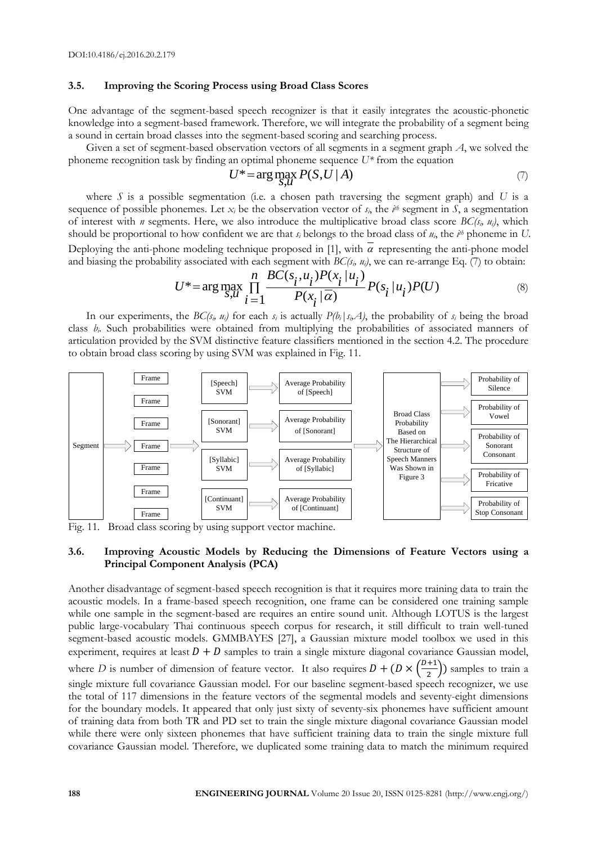#### **3.5. Improving the Scoring Process using Broad Class Scores**

One advantage of the segment-based speech recognizer is that it easily integrates the acoustic-phonetic knowledge into a segment-based framework. Therefore, we will integrate the probability of a segment being a sound in certain broad classes into the segment-based scoring and searching process.

Given a set of segment-based observation vectors of all segments in a segment graph *A*, we solved the phoneme recognition task by finding an optimal phoneme sequence  $U^*$  from the equation  $U^* = \arg\max_{i} P(S, U | A)$ 

$$
U^* = \arg\max_{S,\mathcal{U}} P(S, U \mid A) \tag{7}
$$

where  $S$  is a possible segmentation (i.e. a chosen path traversing the segment graph) and  $U$  is a sequence of possible phonemes. Let  $x_i$  be the observation vector of  $s_i$ , the  $i^{th}$  segment in  $S$ , a segmentation of interest with *n* segments. Here, we also introduce the multiplicative broad class score *BC(si, ui)*, which should be proportional to how confident we are that *s<sup>i</sup>* belongs to the broad class of *ui*, the *i th* phoneme in *U*. Deploying the anti-phone modeling technique proposed in [1], with  $\overline{\alpha}$  representing the anti-phone model<br>and biasing the probability associated with each segment with *BC*( $s_i$ ,  $u_i$ ), we can re-arrange Eq. (7) to obt

2069. The probability associated with each segment with 
$$
BC(s_i, u_i)
$$
, we can re-arrange Eq. (7) to obtain:  
\n
$$
U^* = \arg \max_{S, u} \prod_{i=1}^{n} \frac{BC(s_i, u_i)P(x_i | u_i)}{P(x_i | \overline{\alpha})} P(s_i | u_i)P(U)
$$
\n(8)

In our experiments, the *BC(s<sub>i</sub>*, *u<sub>i</sub>*) for each *s<sub>i</sub>* is actually  $P(b_i | s_i \mathcal{A})$ , the probability of *s<sub>i</sub>* being the broad class *bi*. Such probabilities were obtained from multiplying the probabilities of associated manners of articulation provided by the SVM distinctive feature classifiers mentioned in the section 4.2. The procedure to obtain broad class scoring by using SVM was explained in Fig. 11.



Fig. 11. Broad class scoring by using support vector machine.

# **3.6. Improving Acoustic Models by Reducing the Dimensions of Feature Vectors using a Principal Component Analysis (PCA)**

Another disadvantage of segment-based speech recognition is that it requires more training data to train the acoustic models. In a frame-based speech recognition, one frame can be considered one training sample while one sample in the segment-based are requires an entire sound unit. Although LOTUS is the largest public large-vocabulary Thai continuous speech corpus for research, it still difficult to train well-tuned segment-based acoustic models. GMMBAYES [27], a Gaussian mixture model toolbox we used in this experiment, requires at least  $D + D$  samples to train a single mixture diagonal covariance Gaussian model, where *D* is number of dimension of feature vector. It also requires  $D + (D \times \sqrt{D})$  $\frac{1}{2}$ ) samples to train a single mixture full covariance Gaussian model. For our baseline segment-based speech recognizer, we use the total of 117 dimensions in the feature vectors of the segmental models and seventy-eight dimensions for the boundary models. It appeared that only just sixty of seventy-six phonemes have sufficient amount of training data from both TR and PD set to train the single mixture diagonal covariance Gaussian model while there were only sixteen phonemes that have sufficient training data to train the single mixture full covariance Gaussian model. Therefore, we duplicated some training data to match the minimum required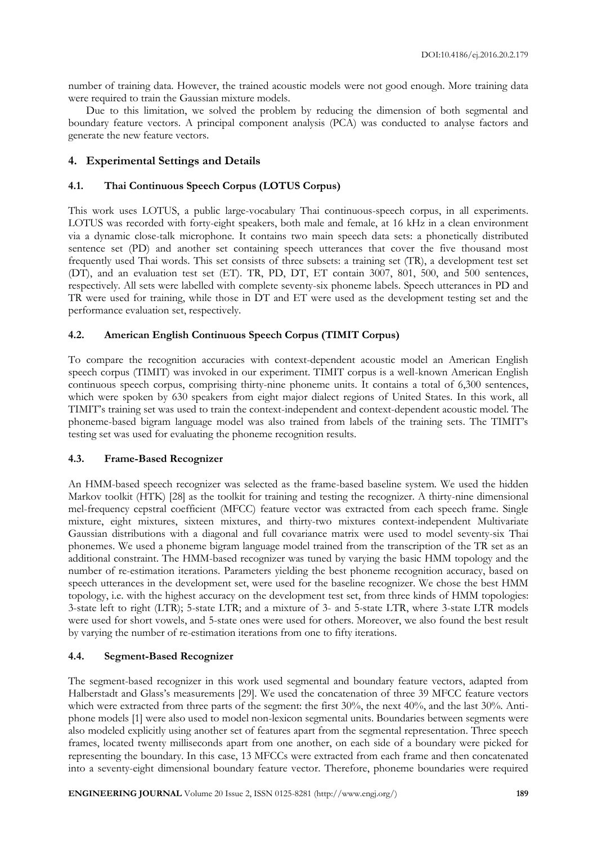number of training data. However, the trained acoustic models were not good enough. More training data were required to train the Gaussian mixture models.

Due to this limitation, we solved the problem by reducing the dimension of both segmental and boundary feature vectors. A principal component analysis (PCA) was conducted to analyse factors and generate the new feature vectors.

# **4. Experimental Settings and Details**

# **4.1. Thai Continuous Speech Corpus (LOTUS Corpus)**

This work uses LOTUS, a public large-vocabulary Thai continuous-speech corpus, in all experiments. LOTUS was recorded with forty-eight speakers, both male and female, at 16 kHz in a clean environment via a dynamic close-talk microphone. It contains two main speech data sets: a phonetically distributed sentence set (PD) and another set containing speech utterances that cover the five thousand most frequently used Thai words. This set consists of three subsets: a training set (TR), a development test set (DT), and an evaluation test set (ET). TR, PD, DT, ET contain 3007, 801, 500, and 500 sentences, respectively. All sets were labelled with complete seventy-six phoneme labels. Speech utterances in PD and TR were used for training, while those in DT and ET were used as the development testing set and the performance evaluation set, respectively.

# **4.2. American English Continuous Speech Corpus (TIMIT Corpus)**

To compare the recognition accuracies with context-dependent acoustic model an American English speech corpus (TIMIT) was invoked in our experiment. TIMIT corpus is a well-known American English continuous speech corpus, comprising thirty-nine phoneme units. It contains a total of 6,300 sentences, which were spoken by 630 speakers from eight major dialect regions of United States. In this work, all TIMIT's training set was used to train the context-independent and context-dependent acoustic model. The phoneme-based bigram language model was also trained from labels of the training sets. The TIMIT's testing set was used for evaluating the phoneme recognition results.

# **4.3. Frame-Based Recognizer**

An HMM-based speech recognizer was selected as the frame-based baseline system. We used the hidden Markov toolkit (HTK) [28] as the toolkit for training and testing the recognizer. A thirty-nine dimensional mel-frequency cepstral coefficient (MFCC) feature vector was extracted from each speech frame. Single mixture, eight mixtures, sixteen mixtures, and thirty-two mixtures context-independent Multivariate Gaussian distributions with a diagonal and full covariance matrix were used to model seventy-six Thai phonemes. We used a phoneme bigram language model trained from the transcription of the TR set as an additional constraint. The HMM-based recognizer was tuned by varying the basic HMM topology and the number of re-estimation iterations. Parameters yielding the best phoneme recognition accuracy, based on speech utterances in the development set, were used for the baseline recognizer. We chose the best HMM topology, i.e. with the highest accuracy on the development test set, from three kinds of HMM topologies: 3-state left to right (LTR); 5-state LTR; and a mixture of 3- and 5-state LTR, where 3-state LTR models were used for short vowels, and 5-state ones were used for others. Moreover, we also found the best result by varying the number of re-estimation iterations from one to fifty iterations.

# **4.4. Segment-Based Recognizer**

The segment-based recognizer in this work used segmental and boundary feature vectors, adapted from Halberstadt and Glass's measurements [29]. We used the concatenation of three 39 MFCC feature vectors which were extracted from three parts of the segment: the first 30%, the next 40%, and the last 30%. Antiphone models [1] were also used to model non-lexicon segmental units. Boundaries between segments were also modeled explicitly using another set of features apart from the segmental representation. Three speech frames, located twenty milliseconds apart from one another, on each side of a boundary were picked for representing the boundary. In this case, 13 MFCCs were extracted from each frame and then concatenated into a seventy-eight dimensional boundary feature vector. Therefore, phoneme boundaries were required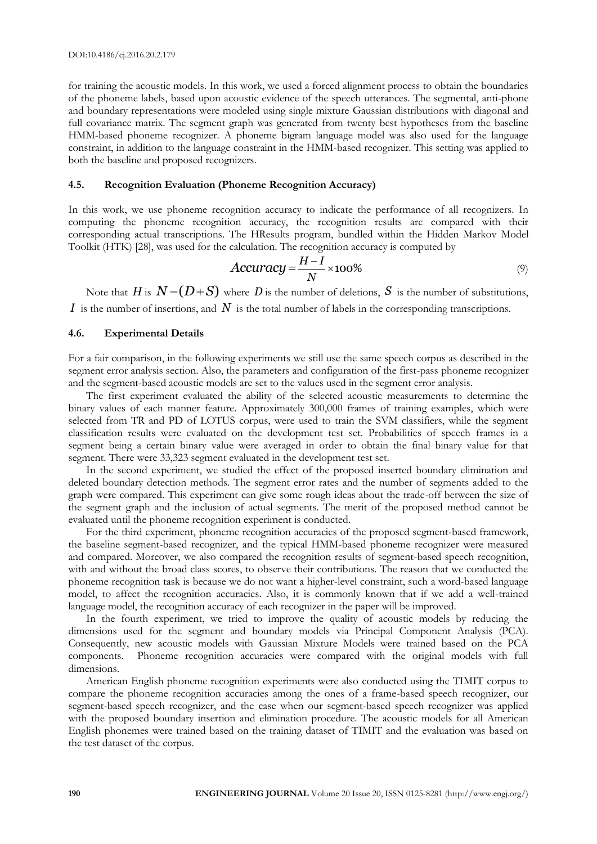for training the acoustic models. In this work, we used a forced alignment process to obtain the boundaries of the phoneme labels, based upon acoustic evidence of the speech utterances. The segmental, anti-phone and boundary representations were modeled using single mixture Gaussian distributions with diagonal and full covariance matrix. The segment graph was generated from twenty best hypotheses from the baseline HMM-based phoneme recognizer. A phoneme bigram language model was also used for the language constraint, in addition to the language constraint in the HMM-based recognizer. This setting was applied to both the baseline and proposed recognizers.

# **4.5. Recognition Evaluation (Phoneme Recognition Accuracy)**

In this work, we use phoneme recognition accuracy to indicate the performance of all recognizers. In computing the phoneme recognition accuracy, the recognition results are compared with their corresponding actual transcriptions. The HResults program, bundled within the Hidden Markov Model

Toolkit (HTK) [28], was used for the calculation. The recognition accuracy is computed by  
\n
$$
Accuracy = \frac{H - I}{N} \times 100\%
$$
\n(9)

Note that  $H$  is  $N - (D + S)$  where  $D$  is the number of deletions,  $S$  is the number of substitutions, *I* is the number of insertions, and  $N$  is the total number of labels in the corresponding transcriptions.

# **4.6. Experimental Details**

For a fair comparison, in the following experiments we still use the same speech corpus as described in the segment error analysis section. Also, the parameters and configuration of the first-pass phoneme recognizer and the segment-based acoustic models are set to the values used in the segment error analysis.

The first experiment evaluated the ability of the selected acoustic measurements to determine the binary values of each manner feature. Approximately 300,000 frames of training examples, which were selected from TR and PD of LOTUS corpus, were used to train the SVM classifiers, while the segment classification results were evaluated on the development test set. Probabilities of speech frames in a segment being a certain binary value were averaged in order to obtain the final binary value for that segment. There were 33,323 segment evaluated in the development test set.

In the second experiment, we studied the effect of the proposed inserted boundary elimination and deleted boundary detection methods. The segment error rates and the number of segments added to the graph were compared. This experiment can give some rough ideas about the trade-off between the size of the segment graph and the inclusion of actual segments. The merit of the proposed method cannot be evaluated until the phoneme recognition experiment is conducted.

For the third experiment, phoneme recognition accuracies of the proposed segment-based framework, the baseline segment-based recognizer, and the typical HMM-based phoneme recognizer were measured and compared. Moreover, we also compared the recognition results of segment-based speech recognition, with and without the broad class scores, to observe their contributions. The reason that we conducted the phoneme recognition task is because we do not want a higher-level constraint, such a word-based language model, to affect the recognition accuracies. Also, it is commonly known that if we add a well-trained language model, the recognition accuracy of each recognizer in the paper will be improved.

In the fourth experiment, we tried to improve the quality of acoustic models by reducing the dimensions used for the segment and boundary models via Principal Component Analysis (PCA). Consequently, new acoustic models with Gaussian Mixture Models were trained based on the PCA components. Phoneme recognition accuracies were compared with the original models with full dimensions.

American English phoneme recognition experiments were also conducted using the TIMIT corpus to compare the phoneme recognition accuracies among the ones of a frame-based speech recognizer, our segment-based speech recognizer, and the case when our segment-based speech recognizer was applied with the proposed boundary insertion and elimination procedure. The acoustic models for all American English phonemes were trained based on the training dataset of TIMIT and the evaluation was based on the test dataset of the corpus.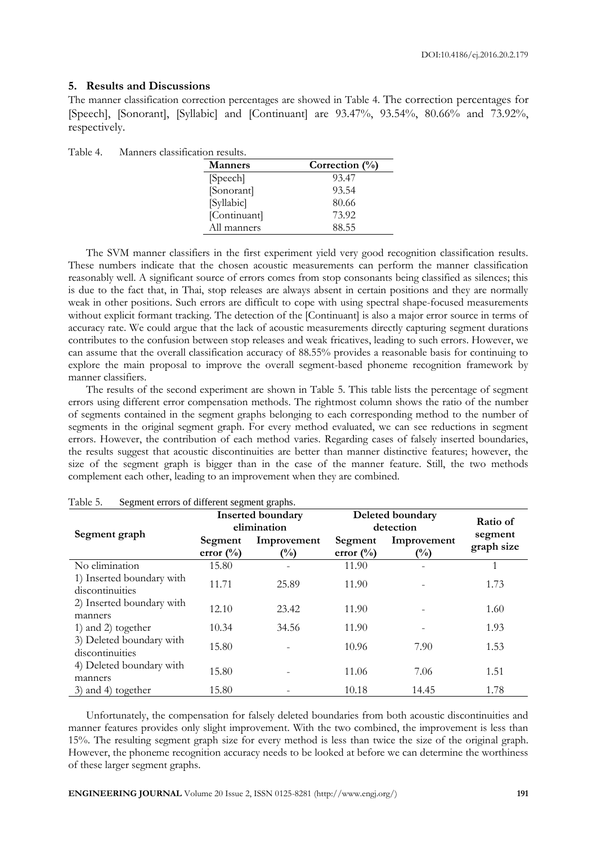# **5. Results and Discussions**

The manner classification correction percentages are showed in Table 4. The correction percentages for [Speech], [Sonorant], [Syllabic] and [Continuant] are 93.47%, 93.54%, 80.66% and 73.92%, respectively.

Table 4. Manners classification results.

| <b>Manners</b> | Correction $(\%)$ |
|----------------|-------------------|
| [Speech]       | 93.47             |
| [Sonorant]     | 93.54             |
| [Syllabic]     | 80.66             |
| [Continuant]   | 73.92             |
| All manners    | 88.55             |

The SVM manner classifiers in the first experiment yield very good recognition classification results. These numbers indicate that the chosen acoustic measurements can perform the manner classification reasonably well. A significant source of errors comes from stop consonants being classified as silences; this is due to the fact that, in Thai, stop releases are always absent in certain positions and they are normally weak in other positions. Such errors are difficult to cope with using spectral shape-focused measurements without explicit formant tracking. The detection of the [Continuant] is also a major error source in terms of accuracy rate. We could argue that the lack of acoustic measurements directly capturing segment durations contributes to the confusion between stop releases and weak fricatives, leading to such errors. However, we can assume that the overall classification accuracy of 88.55% provides a reasonable basis for continuing to explore the main proposal to improve the overall segment-based phoneme recognition framework by manner classifiers.

The results of the second experiment are shown in Table 5. This table lists the percentage of segment errors using different error compensation methods. The rightmost column shows the ratio of the number of segments contained in the segment graphs belonging to each corresponding method to the number of segments in the original segment graph. For every method evaluated, we can see reductions in segment errors. However, the contribution of each method varies. Regarding cases of falsely inserted boundaries, the results suggest that acoustic discontinuities are better than manner distinctive features; however, the size of the segment graph is bigger than in the case of the manner feature. Still, the two methods complement each other, leading to an improvement when they are combined.

| beginem errors of unferent segment gruphs. |                      | <b>Inserted boundary</b> | Deleted boundary     | Ratio of    |                       |
|--------------------------------------------|----------------------|--------------------------|----------------------|-------------|-----------------------|
| Segment graph                              | elimination          |                          | detection            |             |                       |
|                                            | Segment              | Improvement              | Segment              | Improvement | segment<br>graph size |
|                                            | error $\binom{0}{0}$ | $\binom{0}{0}$           | error $\binom{0}{0}$ | $(\%)$      |                       |
| No elimination                             | 15.80                |                          | 11.90                |             |                       |
| 1) Inserted boundary with                  | 11.71                | 25.89                    | 11.90                |             | 1.73                  |
| discontinuities                            |                      |                          |                      |             |                       |
| 2) Inserted boundary with                  | 12.10                | 23.42                    | 11.90                |             | 1.60                  |
| manners                                    |                      |                          |                      |             |                       |
| 1) and 2) together                         | 10.34                | 34.56                    | 11.90                |             | 1.93                  |
| 3) Deleted boundary with                   | 15.80                |                          | 10.96                | 7.90        | 1.53                  |
| discontinuities                            |                      |                          |                      |             |                       |
| 4) Deleted boundary with                   | 15.80                |                          | 11.06                | 7.06        | 1.51                  |
| manners                                    |                      |                          |                      |             |                       |
| 3) and 4) together                         | 15.80                |                          | 10.18                | 14.45       | 1.78                  |

| Table 5. | Segment errors of different segment graphs. |  |
|----------|---------------------------------------------|--|
|----------|---------------------------------------------|--|

Unfortunately, the compensation for falsely deleted boundaries from both acoustic discontinuities and manner features provides only slight improvement. With the two combined, the improvement is less than 15%. The resulting segment graph size for every method is less than twice the size of the original graph. However, the phoneme recognition accuracy needs to be looked at before we can determine the worthiness of these larger segment graphs.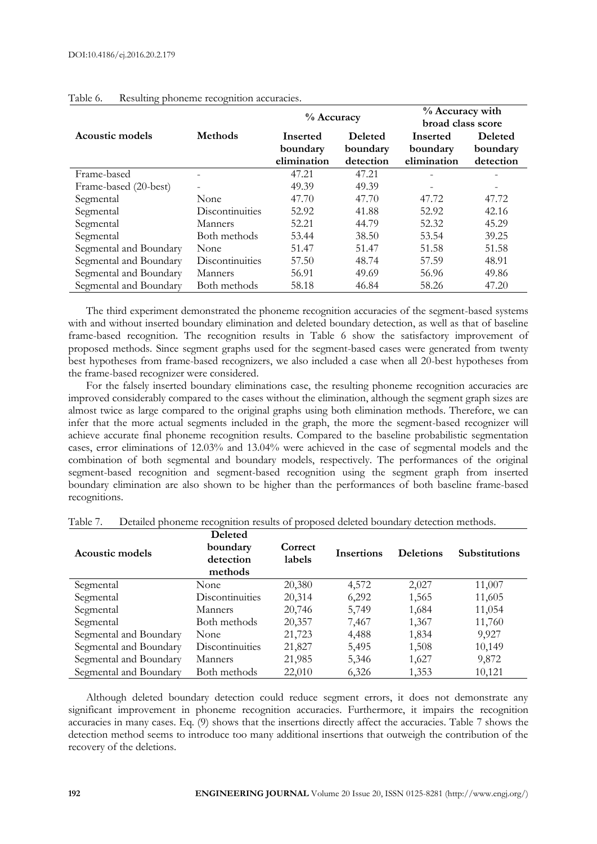|                        |                          | % Accuracy  |                | % Accuracy with   |                          |
|------------------------|--------------------------|-------------|----------------|-------------------|--------------------------|
|                        |                          |             |                | broad class score |                          |
| Acoustic models        | <b>Methods</b>           | Inserted    | <b>Deleted</b> | <b>Inserted</b>   | <b>Deleted</b>           |
|                        |                          | boundary    | boundary       | boundary          | boundary                 |
|                        |                          | elimination | detection      | elimination       | detection                |
| Frame-based            |                          | 47.21       | 47.21          |                   |                          |
| Frame-based (20-best)  | $\overline{\phantom{0}}$ | 49.39       | 49.39          |                   | $\overline{\phantom{a}}$ |
| Segmental              | None                     | 47.70       | 47.70          | 47.72             | 47.72                    |
| Segmental              | Discontinuities          | 52.92       | 41.88          | 52.92             | 42.16                    |
| Segmental              | Manners                  | 52.21       | 44.79          | 52.32             | 45.29                    |
| Segmental              | Both methods             | 53.44       | 38.50          | 53.54             | 39.25                    |
| Segmental and Boundary | None                     | 51.47       | 51.47          | 51.58             | 51.58                    |
| Segmental and Boundary | Discontinuities          | 57.50       | 48.74          | 57.59             | 48.91                    |
| Segmental and Boundary | Manners                  | 56.91       | 49.69          | 56.96             | 49.86                    |
| Segmental and Boundary | Both methods             | 58.18       | 46.84          | 58.26             | 47.20                    |

# Table 6. Resulting phoneme recognition accuracies.

The third experiment demonstrated the phoneme recognition accuracies of the segment-based systems with and without inserted boundary elimination and deleted boundary detection, as well as that of baseline frame-based recognition. The recognition results in Table 6 show the satisfactory improvement of proposed methods. Since segment graphs used for the segment-based cases were generated from twenty best hypotheses from frame-based recognizers, we also included a case when all 20-best hypotheses from the frame-based recognizer were considered.

For the falsely inserted boundary eliminations case, the resulting phoneme recognition accuracies are improved considerably compared to the cases without the elimination, although the segment graph sizes are almost twice as large compared to the original graphs using both elimination methods. Therefore, we can infer that the more actual segments included in the graph, the more the segment-based recognizer will achieve accurate final phoneme recognition results. Compared to the baseline probabilistic segmentation cases, error eliminations of 12.03% and 13.04% were achieved in the case of segmental models and the combination of both segmental and boundary models, respectively. The performances of the original segment-based recognition and segment-based recognition using the segment graph from inserted boundary elimination are also shown to be higher than the performances of both baseline frame-based recognitions.

| Acoustic models        | <b>Deleted</b><br>boundary<br>detection<br>methods | Correct<br>labels | <b>Insertions</b> | <b>Deletions</b> | <b>Substitutions</b> |
|------------------------|----------------------------------------------------|-------------------|-------------------|------------------|----------------------|
| Segmental              | None                                               | 20,380            | 4,572             | 2,027            | 11,007               |
| Segmental              | Discontinuities                                    | 20,314            | 6,292             | 1,565            | 11,605               |
| Segmental              | Manners                                            | 20,746            | 5,749             | 1,684            | 11,054               |
| Segmental              | Both methods                                       | 20,357            | 7,467             | 1,367            | 11,760               |
| Segmental and Boundary | None                                               | 21,723            | 4,488             | 1,834            | 9,927                |
| Segmental and Boundary | Discontinuities                                    | 21,827            | 5,495             | 1,508            | 10,149               |
| Segmental and Boundary | Manners                                            | 21,985            | 5,346             | 1,627            | 9,872                |
| Segmental and Boundary | Both methods                                       | 22,010            | 6,326             | 1,353            | 10,121               |

Table 7. Detailed phoneme recognition results of proposed deleted boundary detection methods.

Although deleted boundary detection could reduce segment errors, it does not demonstrate any significant improvement in phoneme recognition accuracies. Furthermore, it impairs the recognition accuracies in many cases. Eq. (9) shows that the insertions directly affect the accuracies. Table 7 shows the detection method seems to introduce too many additional insertions that outweigh the contribution of the recovery of the deletions.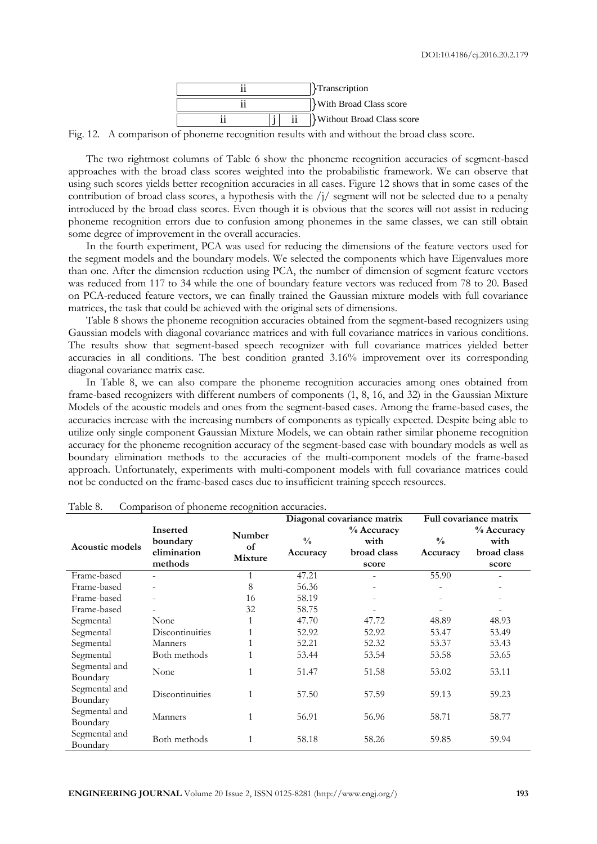

Fig. 12. A comparison of phoneme recognition results with and without the broad class score.

The two rightmost columns of Table 6 show the phoneme recognition accuracies of segment-based approaches with the broad class scores weighted into the probabilistic framework. We can observe that using such scores yields better recognition accuracies in all cases. Figure 12 shows that in some cases of the contribution of broad class scores, a hypothesis with the  $/j/$  segment will not be selected due to a penalty introduced by the broad class scores. Even though it is obvious that the scores will not assist in reducing phoneme recognition errors due to confusion among phonemes in the same classes, we can still obtain some degree of improvement in the overall accuracies.

In the fourth experiment, PCA was used for reducing the dimensions of the feature vectors used for the segment models and the boundary models. We selected the components which have Eigenvalues more than one. After the dimension reduction using PCA, the number of dimension of segment feature vectors was reduced from 117 to 34 while the one of boundary feature vectors was reduced from 78 to 20. Based on PCA-reduced feature vectors, we can finally trained the Gaussian mixture models with full covariance matrices, the task that could be achieved with the original sets of dimensions.

Table 8 shows the phoneme recognition accuracies obtained from the segment-based recognizers using Gaussian models with diagonal covariance matrices and with full covariance matrices in various conditions. The results show that segment-based speech recognizer with full covariance matrices yielded better accuracies in all conditions. The best condition granted 3.16% improvement over its corresponding diagonal covariance matrix case.

In Table 8, we can also compare the phoneme recognition accuracies among ones obtained from frame-based recognizers with different numbers of components (1, 8, 16, and 32) in the Gaussian Mixture Models of the acoustic models and ones from the segment-based cases. Among the frame-based cases, the accuracies increase with the increasing numbers of components as typically expected. Despite being able to utilize only single component Gaussian Mixture Models, we can obtain rather similar phoneme recognition accuracy for the phoneme recognition accuracy of the segment-based case with boundary models as well as boundary elimination methods to the accuracies of the multi-component models of the frame-based approach. Unfortunately, experiments with multi-component models with full covariance matrices could not be conducted on the frame-based cases due to insufficient training speech resources.

|                           |                                                       |                                | Diagonal covariance matrix |                                            | Full covariance matrix    |                                            |
|---------------------------|-------------------------------------------------------|--------------------------------|----------------------------|--------------------------------------------|---------------------------|--------------------------------------------|
| <b>Acoustic models</b>    | <b>Inserted</b><br>boundary<br>elimination<br>methods | Number<br>of<br><b>Mixture</b> | $\frac{0}{0}$<br>Accuracy  | % Accuracy<br>with<br>broad class<br>score | $\frac{0}{0}$<br>Accuracy | % Accuracy<br>with<br>broad class<br>score |
| Frame-based               |                                                       |                                | 47.21                      |                                            | 55.90                     |                                            |
| Frame-based               |                                                       | 8                              | 56.36                      |                                            |                           |                                            |
| Frame-based               |                                                       | 16                             | 58.19                      |                                            |                           |                                            |
| Frame-based               |                                                       | 32                             | 58.75                      |                                            |                           |                                            |
| Segmental                 | None                                                  |                                | 47.70                      | 47.72                                      | 48.89                     | 48.93                                      |
| Segmental                 | Discontinuities                                       |                                | 52.92                      | 52.92                                      | 53.47                     | 53.49                                      |
| Segmental                 | Manners                                               |                                | 52.21                      | 52.32                                      | 53.37                     | 53.43                                      |
| Segmental                 | Both methods                                          |                                | 53.44                      | 53.54                                      | 53.58                     | 53.65                                      |
| Segmental and<br>Boundary | None                                                  | 1                              | 51.47                      | 51.58                                      | 53.02                     | 53.11                                      |
| Segmental and<br>Boundary | <b>Discontinuities</b>                                | $\mathbf{1}$                   | 57.50                      | 57.59                                      | 59.13                     | 59.23                                      |
| Segmental and<br>Boundary | Manners                                               | 1                              | 56.91                      | 56.96                                      | 58.71                     | 58.77                                      |
| Segmental and<br>Boundary | Both methods                                          | 1                              | 58.18                      | 58.26                                      | 59.85                     | 59.94                                      |

Table 8. Comparison of phoneme recognition accuracies.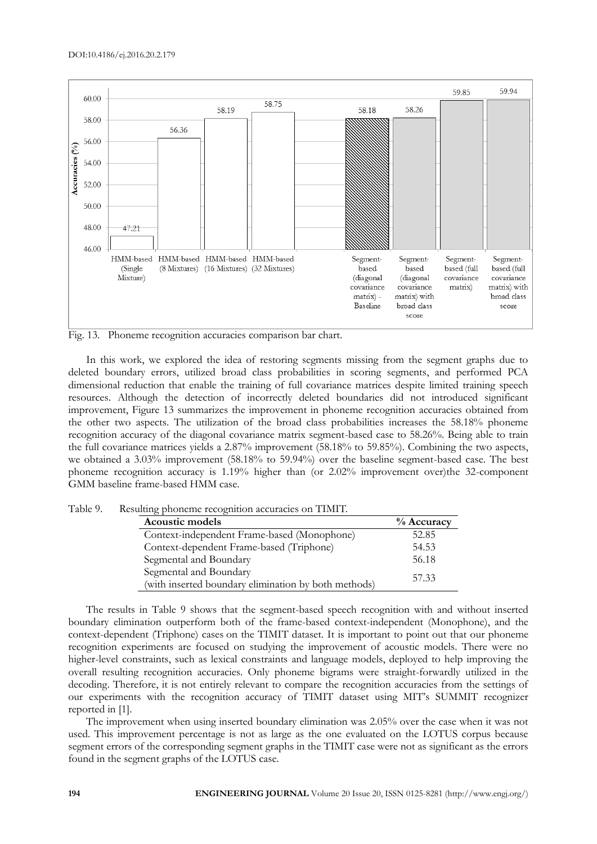

Fig. 13. Phoneme recognition accuracies comparison bar chart.

In this work, we explored the idea of restoring segments missing from the segment graphs due to deleted boundary errors, utilized broad class probabilities in scoring segments, and performed PCA dimensional reduction that enable the training of full covariance matrices despite limited training speech resources. Although the detection of incorrectly deleted boundaries did not introduced significant improvement, Figure 13 summarizes the improvement in phoneme recognition accuracies obtained from the other two aspects. The utilization of the broad class probabilities increases the 58.18% phoneme recognition accuracy of the diagonal covariance matrix segment-based case to 58.26%. Being able to train the full covariance matrices yields a 2.87% improvement (58.18% to 59.85%). Combining the two aspects, we obtained a 3.03% improvement (58.18% to 59.94%) over the baseline segment-based case. The best phoneme recognition accuracy is 1.19% higher than (or 2.02% improvement over)the 32-component GMM baseline frame-based HMM case.

Table 9. Resulting phoneme recognition accuracies on TIMIT.

| Acoustic models                                      | % Accuracy |
|------------------------------------------------------|------------|
| Context-independent Frame-based (Monophone)          | 52.85      |
| Context-dependent Frame-based (Triphone)             | 54.53      |
| Segmental and Boundary                               | 56.18      |
| Segmental and Boundary                               | 57.33      |
| (with inserted boundary elimination by both methods) |            |

The results in Table 9 shows that the segment-based speech recognition with and without inserted boundary elimination outperform both of the frame-based context-independent (Monophone), and the context-dependent (Triphone) cases on the TIMIT dataset. It is important to point out that our phoneme recognition experiments are focused on studying the improvement of acoustic models. There were no higher-level constraints, such as lexical constraints and language models, deployed to help improving the overall resulting recognition accuracies. Only phoneme bigrams were straight-forwardly utilized in the decoding. Therefore, it is not entirely relevant to compare the recognition accuracies from the settings of our experiments with the recognition accuracy of TIMIT dataset using MIT's SUMMIT recognizer reported in [1].

The improvement when using inserted boundary elimination was 2.05% over the case when it was not used. This improvement percentage is not as large as the one evaluated on the LOTUS corpus because segment errors of the corresponding segment graphs in the TIMIT case were not as significant as the errors found in the segment graphs of the LOTUS case.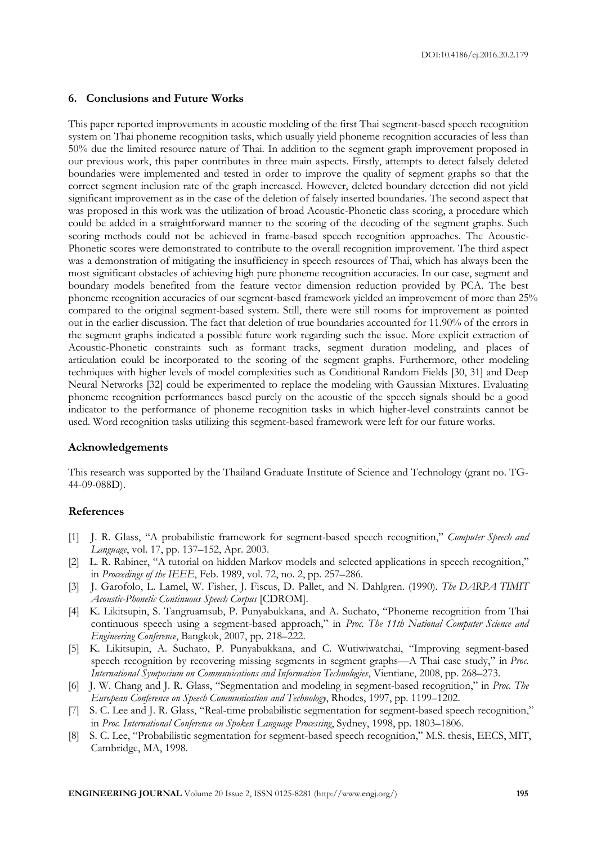# **6. Conclusions and Future Works**

This paper reported improvements in acoustic modeling of the first Thai segment-based speech recognition system on Thai phoneme recognition tasks, which usually yield phoneme recognition accuracies of less than 50% due the limited resource nature of Thai. In addition to the segment graph improvement proposed in our previous work, this paper contributes in three main aspects. Firstly, attempts to detect falsely deleted boundaries were implemented and tested in order to improve the quality of segment graphs so that the correct segment inclusion rate of the graph increased. However, deleted boundary detection did not yield significant improvement as in the case of the deletion of falsely inserted boundaries. The second aspect that was proposed in this work was the utilization of broad Acoustic-Phonetic class scoring, a procedure which could be added in a straightforward manner to the scoring of the decoding of the segment graphs. Such scoring methods could not be achieved in frame-based speech recognition approaches. The Acoustic-Phonetic scores were demonstrated to contribute to the overall recognition improvement. The third aspect was a demonstration of mitigating the insufficiency in speech resources of Thai, which has always been the most significant obstacles of achieving high pure phoneme recognition accuracies. In our case, segment and boundary models benefited from the feature vector dimension reduction provided by PCA. The best phoneme recognition accuracies of our segment-based framework yielded an improvement of more than 25% compared to the original segment-based system. Still, there were still rooms for improvement as pointed out in the earlier discussion. The fact that deletion of true boundaries accounted for 11.90% of the errors in the segment graphs indicated a possible future work regarding such the issue. More explicit extraction of Acoustic-Phonetic constraints such as formant tracks, segment duration modeling, and places of articulation could be incorporated to the scoring of the segment graphs. Furthermore, other modeling techniques with higher levels of model complexities such as Conditional Random Fields [30, 31] and Deep Neural Networks [32] could be experimented to replace the modeling with Gaussian Mixtures. Evaluating phoneme recognition performances based purely on the acoustic of the speech signals should be a good indicator to the performance of phoneme recognition tasks in which higher-level constraints cannot be used. Word recognition tasks utilizing this segment-based framework were left for our future works.

# **Acknowledgements**

This research was supported by the Thailand Graduate Institute of Science and Technology (grant no. TG-44-09-088D).

# **References**

- [1] J. R. Glass, "A probabilistic framework for segment-based speech recognition," *Computer Speech and Language*, vol. 17, pp. 137–152, Apr. 2003.
- [2] L. R. Rabiner, "A tutorial on hidden Markov models and selected applications in speech recognition," in *Proceedings of the IEEE*, Feb. 1989, vol. 72, no. 2, pp. 257–286.
- [3] J. Garofolo, L. Lamel, W. Fisher, J. Fiscus, D. Pallet, and N. Dahlgren. (1990). *The DARPA TIMIT Acoustic-Phonetic Continuous Speech Corpus* [CDROM].
- [4] K. Likitsupin, S. Tangruamsub, P. Punyabukkana, and A. Suchato, "Phoneme recognition from Thai continuous speech using a segment-based approach," in *Proc. The 11th National Computer Science and Engineering Conference*, Bangkok, 2007, pp. 218–222.
- [5] K. Likitsupin, A. Suchato, P. Punyabukkana, and C. Wutiwiwatchai, "Improving segment-based speech recognition by recovering missing segments in segment graphs—A Thai case study," in *Proc. International Symposium on Communications and Information Technologies*, Vientiane, 2008, pp. 268–273.
- [6] J. W. Chang and J. R. Glass, "Segmentation and modeling in segment-based recognition," in *Proc. The European Conference on Speech Communication and Technology*, Rhodes, 1997, pp. 1199–1202.
- [7] S. C. Lee and J. R. Glass, "Real-time probabilistic segmentation for segment-based speech recognition," in *Proc. International Conference on Spoken Language Processing*, Sydney, 1998, pp. 1803–1806.
- [8] S. C. Lee, "Probabilistic segmentation for segment-based speech recognition," M.S. thesis, EECS, MIT, Cambridge, MA, 1998.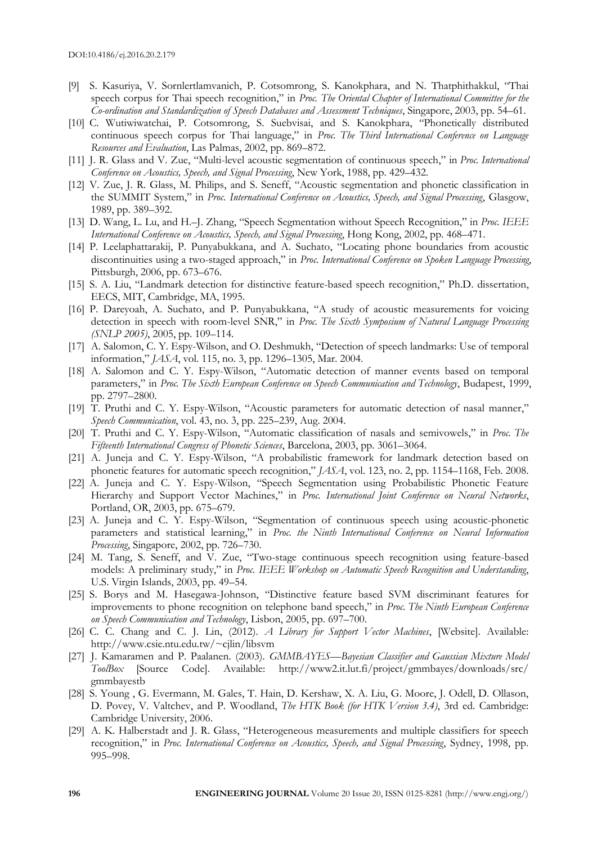- [9] S. Kasuriya, V. Sornlertlamvanich, P. Cotsomrong, S. Kanokphara, and N. Thatphithakkul, "Thai speech corpus for Thai speech recognition," in *Proc. The Oriental Chapter of International Committee for the Co-ordination and Standardization of Speech Databases and Assessment Techniques*, Singapore, 2003, pp. 54–61.
- [10] C. Wutiwiwatchai, P. Cotsomrong, S. Suebvisai, and S. Kanokphara, "Phonetically distributed continuous speech corpus for Thai language," in *Proc. The Third International Conference on Language Resources and Evaluation*, Las Palmas, 2002, pp. 869–872.
- [11] J. R. Glass and V. Zue, "Multi-level acoustic segmentation of continuous speech," in *Proc. International Conference on Acoustics, Speech, and Signal Processing*, New York, 1988, pp. 429–432.
- [12] V. Zue, J. R. Glass, M. Philips, and S. Seneff, "Acoustic segmentation and phonetic classification in the SUMMIT System," in *Proc. International Conference on Acoustics, Speech, and Signal Processing*, Glasgow, 1989, pp. 389–392.
- [13] D. Wang, L. Lu, and H.–J. Zhang, "Speech Segmentation without Speech Recognition," in *Proc. IEEE International Conference on Acoustics, Speech, and Signal Processing*, Hong Kong, 2002, pp. 468–471.
- [14] P. Leelaphattarakij, P. Punyabukkana, and A. Suchato, "Locating phone boundaries from acoustic discontinuities using a two-staged approach," in *Proc. International Conference on Spoken Language Processing*, Pittsburgh, 2006, pp. 673–676.
- [15] S. A. Liu, "Landmark detection for distinctive feature-based speech recognition," Ph.D. dissertation, EECS, MIT, Cambridge, MA, 1995.
- [16] P. Dareyoah, A. Suchato, and P. Punyabukkana, "A study of acoustic measurements for voicing detection in speech with room-level SNR," in *Proc. The Sixth Symposium of Natural Language Processing (SNLP 2005)*, 2005, pp. 109–114.
- [17] A. Salomon, C. Y. Espy-Wilson, and O. Deshmukh, "Detection of speech landmarks: Use of temporal information," *JASA*, vol. 115, no. 3, pp. 1296–1305, Mar. 2004.
- [18] A. Salomon and C. Y. Espy-Wilson, "Automatic detection of manner events based on temporal parameters," in *Proc. The Sixth European Conference on Speech Communication and Technology*, Budapest, 1999, pp. 2797–2800.
- [19] T. Pruthi and C. Y. Espy-Wilson, "Acoustic parameters for automatic detection of nasal manner," *Speech Communication*, vol. 43, no. 3, pp. 225–239, Aug. 2004.
- [20] T. Pruthi and C. Y. Espy-Wilson, "Automatic classification of nasals and semivowels," in *Proc. The Fifteenth International Congress of Phonetic Sciences*, Barcelona, 2003, pp. 3061–3064.
- [21] A. Juneja and C. Y. Espy-Wilson, "A probabilistic framework for landmark detection based on phonetic features for automatic speech recognition," *JASA*, vol. 123, no. 2, pp. 1154–1168, Feb. 2008.
- [22] A. Juneja and C. Y. Espy-Wilson, "Speech Segmentation using Probabilistic Phonetic Feature Hierarchy and Support Vector Machines," in *Proc. International Joint Conference on Neural Networks*, Portland, OR, 2003, pp. 675–679.
- [23] A. Juneja and C. Y. Espy-Wilson, "Segmentation of continuous speech using acoustic-phonetic parameters and statistical learning," in *Proc. the Ninth International Conference on Neural Information Processing*, Singapore, 2002, pp. 726–730.
- [24] M. Tang, S. Seneff, and V. Zue, "Two-stage continuous speech recognition using feature-based models: A preliminary study," in *Proc. IEEE Workshop on Automatic Speech Recognition and Understanding*, U.S. Virgin Islands, 2003, pp. 49–54.
- [25] S. Borys and M. Hasegawa-Johnson, "Distinctive feature based SVM discriminant features for improvements to phone recognition on telephone band speech," in *Proc. The Ninth European Conference on Speech Communication and Technology*, Lisbon, 2005, pp. 697–700.
- [26] C. C. Chang and C. J. Lin, (2012). *A Library for Support Vector Machines*, [Website]. Available: http://www.csie.ntu.edu.tw/~cjlin/libsvm
- [27] J. Kamaramen and P. Paalanen. (2003). *GMMBAYES—Bayesian Classifier and Gaussian Mixture Model ToolBox* [Source Code]. Available: http://www2.it.lut.fi/project/gmmbayes/downloads/src/ gmmbayestb
- [28] S. Young , G. Evermann, M. Gales, T. Hain, D. Kershaw, X. A. Liu, G. Moore, J. Odell, D. Ollason, D. Povey, V. Valtchev, and P. Woodland, *The HTK Book (for HTK Version 3.4)*, 3rd ed. Cambridge: Cambridge University, 2006.
- [29] A. K. Halberstadt and J. R. Glass, "Heterogeneous measurements and multiple classifiers for speech recognition," in *Proc. International Conference on Acoustics, Speech, and Signal Processing*, Sydney, 1998, pp. 995–998.